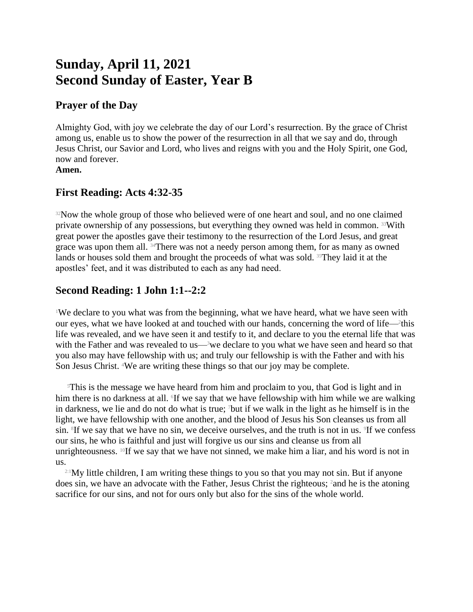# **Sunday, April 11, 2021 Second Sunday of Easter, Year B**

#### **Prayer of the Day**

Almighty God, with joy we celebrate the day of our Lord's resurrection. By the grace of Christ among us, enable us to show the power of the resurrection in all that we say and do, through Jesus Christ, our Savior and Lord, who lives and reigns with you and the Holy Spirit, one God, now and forever. **Amen.**

### **First Reading: Acts 4:32-35**

<sup>32</sup>Now the whole group of those who believed were of one heart and soul, and no one claimed private ownership of any possessions, but everything they owned was held in common. 33With great power the apostles gave their testimony to the resurrection of the Lord Jesus, and great grace was upon them all. <sup>34</sup>There was not a needy person among them, for as many as owned lands or houses sold them and brought the proceeds of what was sold. <sup>35</sup>They laid it at the apostles' feet, and it was distributed to each as any had need.

## **Second Reading: 1 John 1:1--2:2**

<sup>1</sup>We declare to you what was from the beginning, what we have heard, what we have seen with our eyes, what we have looked at and touched with our hands, concerning the word of life— this life was revealed, and we have seen it and testify to it, and declare to you the eternal life that was with the Father and was revealed to us—<sup>3</sup>we declare to you what we have seen and heard so that you also may have fellowship with us; and truly our fellowship is with the Father and with his Son Jesus Christ. 4We are writing these things so that our joy may be complete.

 $\delta$ This is the message we have heard from him and proclaim to you, that God is light and in him there is no darkness at all. If we say that we have fellowship with him while we are walking in darkness, we lie and do not do what is true; 7but if we walk in the light as he himself is in the light, we have fellowship with one another, and the blood of Jesus his Son cleanses us from all sin. <sup>8</sup>If we say that we have no sin, we deceive ourselves, and the truth is not in us. <sup>9</sup>If we confess our sins, he who is faithful and just will forgive us our sins and cleanse us from all unrighteousness.  $^{10}$ If we say that we have not sinned, we make him a liar, and his word is not in us.

 $2.1$  My little children, I am writing these things to you so that you may not sin. But if anyone does sin, we have an advocate with the Father, Jesus Christ the righteous; <sup>2</sup> and he is the atoning sacrifice for our sins, and not for ours only but also for the sins of the whole world.